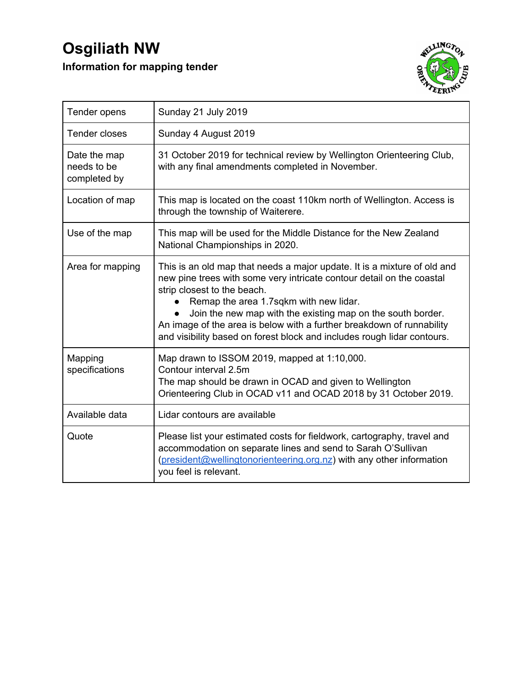## **Osgiliath NW Information for mapping tender**



| Tender opens                                | Sunday 21 July 2019                                                                                                                                                                                                                                                                                                                                                                                                                           |
|---------------------------------------------|-----------------------------------------------------------------------------------------------------------------------------------------------------------------------------------------------------------------------------------------------------------------------------------------------------------------------------------------------------------------------------------------------------------------------------------------------|
| Tender closes                               | Sunday 4 August 2019                                                                                                                                                                                                                                                                                                                                                                                                                          |
| Date the map<br>needs to be<br>completed by | 31 October 2019 for technical review by Wellington Orienteering Club,<br>with any final amendments completed in November.                                                                                                                                                                                                                                                                                                                     |
| Location of map                             | This map is located on the coast 110km north of Wellington. Access is<br>through the township of Waiterere.                                                                                                                                                                                                                                                                                                                                   |
| Use of the map                              | This map will be used for the Middle Distance for the New Zealand<br>National Championships in 2020.                                                                                                                                                                                                                                                                                                                                          |
| Area for mapping                            | This is an old map that needs a major update. It is a mixture of old and<br>new pine trees with some very intricate contour detail on the coastal<br>strip closest to the beach.<br>Remap the area 1.7sqkm with new lidar.<br>Join the new map with the existing map on the south border.<br>An image of the area is below with a further breakdown of runnability<br>and visibility based on forest block and includes rough lidar contours. |
| Mapping<br>specifications                   | Map drawn to ISSOM 2019, mapped at 1:10,000.<br>Contour interval 2.5m<br>The map should be drawn in OCAD and given to Wellington<br>Orienteering Club in OCAD v11 and OCAD 2018 by 31 October 2019.                                                                                                                                                                                                                                           |
| Available data                              | Lidar contours are available                                                                                                                                                                                                                                                                                                                                                                                                                  |
| Quote                                       | Please list your estimated costs for fieldwork, cartography, travel and<br>accommodation on separate lines and send to Sarah O'Sullivan<br>(president@wellingtonorienteering.org.nz) with any other information<br>you feel is relevant.                                                                                                                                                                                                      |